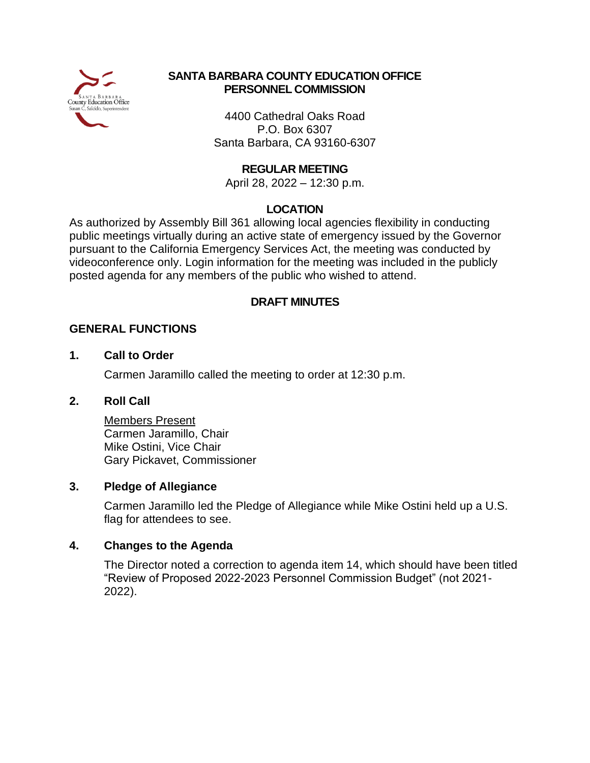

#### **SANTA BARBARA COUNTY EDUCATION OFFICE PERSONNEL COMMISSION**

4400 Cathedral Oaks Road P.O. Box 6307 Santa Barbara, CA 93160-6307

#### **REGULAR MEETING**

April 28, 2022 – 12:30 p.m.

#### **LOCATION**

As authorized by Assembly Bill 361 allowing local agencies flexibility in conducting public meetings virtually during an active state of emergency issued by the Governor pursuant to the California Emergency Services Act, the meeting was conducted by videoconference only. Login information for the meeting was included in the publicly posted agenda for any members of the public who wished to attend.

#### **DRAFT MINUTES**

#### **GENERAL FUNCTIONS**

#### **1. Call to Order**

Carmen Jaramillo called the meeting to order at 12:30 p.m.

#### **2. Roll Call**

Members Present Carmen Jaramillo, Chair Mike Ostini, Vice Chair Gary Pickavet, Commissioner

#### **3. Pledge of Allegiance**

Carmen Jaramillo led the Pledge of Allegiance while Mike Ostini held up a U.S. flag for attendees to see.

#### **4. Changes to the Agenda**

The Director noted a correction to agenda item 14, which should have been titled "Review of Proposed 2022-2023 Personnel Commission Budget" (not 2021- 2022).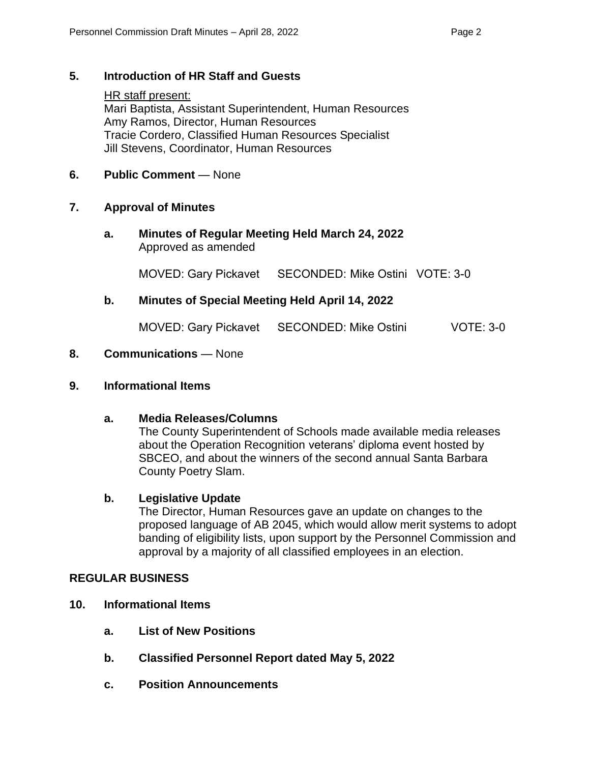#### **5. Introduction of HR Staff and Guests**

HR staff present: Mari Baptista, Assistant Superintendent, Human Resources Amy Ramos, Director, Human Resources Tracie Cordero, Classified Human Resources Specialist Jill Stevens, Coordinator, Human Resources

#### **6. Public Comment** — None

#### **7. Approval of Minutes**

**a. Minutes of Regular Meeting Held March 24, 2022** Approved as amended

MOVED: Gary Pickavet SECONDED: Mike Ostini VOTE: 3-0

#### **b. Minutes of Special Meeting Held April 14, 2022**

MOVED: Gary Pickavet SECONDED: Mike Ostini VOTE: 3-0

#### **8. Communications** — None

#### **9. Informational Items**

#### **a. Media Releases/Columns**

The County Superintendent of Schools made available media releases about the Operation Recognition veterans' diploma event hosted by SBCEO, and about the winners of the second annual Santa Barbara County Poetry Slam.

#### **b. Legislative Update**

The Director, Human Resources gave an update on changes to the proposed language of AB 2045, which would allow merit systems to adopt banding of eligibility lists, upon support by the Personnel Commission and approval by a majority of all classified employees in an election.

#### **REGULAR BUSINESS**

- **10. Informational Items**
	- **a. List of New Positions**
	- **b. Classified Personnel Report dated May 5, 2022**
	- **c. Position Announcements**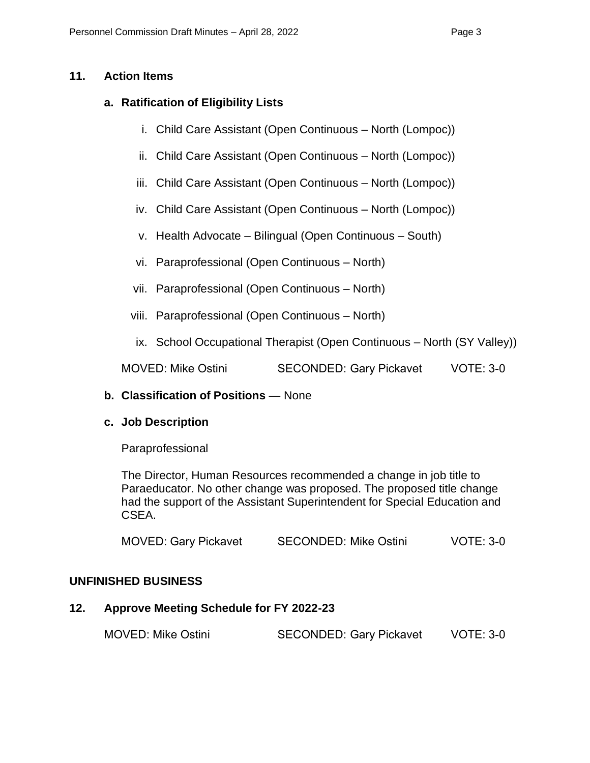#### **11. Action Items**

#### **a. Ratification of Eligibility Lists**

- i. Child Care Assistant (Open Continuous North (Lompoc))
- ii. Child Care Assistant (Open Continuous North (Lompoc))
- iii. Child Care Assistant (Open Continuous North (Lompoc))
- iv. Child Care Assistant (Open Continuous North (Lompoc))
- v. Health Advocate Bilingual (Open Continuous South)
- vi. Paraprofessional (Open Continuous North)
- vii. Paraprofessional (Open Continuous North)
- viii. Paraprofessional (Open Continuous North)
- ix. School Occupational Therapist (Open Continuous North (SY Valley))

MOVED: Mike Ostini SECONDED: Gary Pickavet VOTE: 3-0

#### **b. Classification of Positions** — None

#### **c. Job Description**

Paraprofessional

The Director, Human Resources recommended a change in job title to Paraeducator. No other change was proposed. The proposed title change had the support of the Assistant Superintendent for Special Education and CSEA.

| <b>MOVED: Gary Pickavet</b> | <b>SECONDED: Mike Ostini</b> | <b>VOTE: 3-0</b> |
|-----------------------------|------------------------------|------------------|
|-----------------------------|------------------------------|------------------|

#### **UNFINISHED BUSINESS**

### **12. Approve Meeting Schedule for FY 2022-23**

MOVED: Mike Ostini SECONDED: Gary Pickavet VOTE: 3-0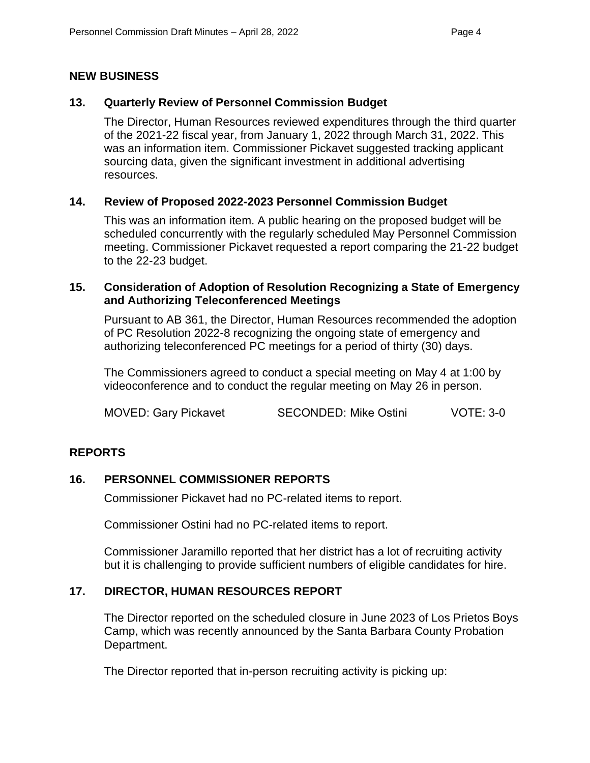#### **NEW BUSINESS**

#### **13. Quarterly Review of Personnel Commission Budget**

The Director, Human Resources reviewed expenditures through the third quarter of the 2021-22 fiscal year, from January 1, 2022 through March 31, 2022. This was an information item. Commissioner Pickavet suggested tracking applicant sourcing data, given the significant investment in additional advertising resources.

#### **14. Review of Proposed 2022-2023 Personnel Commission Budget**

This was an information item. A public hearing on the proposed budget will be scheduled concurrently with the regularly scheduled May Personnel Commission meeting. Commissioner Pickavet requested a report comparing the 21-22 budget to the 22-23 budget.

#### **15. Consideration of Adoption of Resolution Recognizing a State of Emergency and Authorizing Teleconferenced Meetings**

Pursuant to AB 361, the Director, Human Resources recommended the adoption of PC Resolution 2022-8 recognizing the ongoing state of emergency and authorizing teleconferenced PC meetings for a period of thirty (30) days.

The Commissioners agreed to conduct a special meeting on May 4 at 1:00 by videoconference and to conduct the regular meeting on May 26 in person.

MOVED: Gary Pickavet SECONDED: Mike Ostini VOTE: 3-0

#### **REPORTS**

#### **16. PERSONNEL COMMISSIONER REPORTS**

Commissioner Pickavet had no PC-related items to report.

Commissioner Ostini had no PC-related items to report.

Commissioner Jaramillo reported that her district has a lot of recruiting activity but it is challenging to provide sufficient numbers of eligible candidates for hire.

#### **17. DIRECTOR, HUMAN RESOURCES REPORT**

The Director reported on the scheduled closure in June 2023 of Los Prietos Boys Camp, which was recently announced by the Santa Barbara County Probation Department.

The Director reported that in-person recruiting activity is picking up: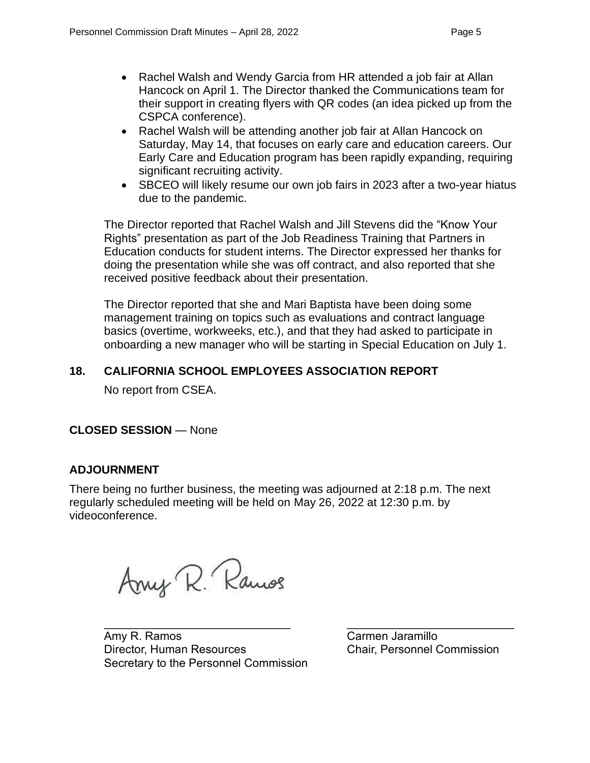- Rachel Walsh and Wendy Garcia from HR attended a job fair at Allan Hancock on April 1. The Director thanked the Communications team for their support in creating flyers with QR codes (an idea picked up from the CSPCA conference).
- Rachel Walsh will be attending another job fair at Allan Hancock on Saturday, May 14, that focuses on early care and education careers. Our Early Care and Education program has been rapidly expanding, requiring significant recruiting activity.
- SBCEO will likely resume our own job fairs in 2023 after a two-year hiatus due to the pandemic.

The Director reported that Rachel Walsh and Jill Stevens did the "Know Your Rights" presentation as part of the Job Readiness Training that Partners in Education conducts for student interns. The Director expressed her thanks for doing the presentation while she was off contract, and also reported that she received positive feedback about their presentation.

The Director reported that she and Mari Baptista have been doing some management training on topics such as evaluations and contract language basics (overtime, workweeks, etc.), and that they had asked to participate in onboarding a new manager who will be starting in Special Education on July 1.

#### **18. CALIFORNIA SCHOOL EMPLOYEES ASSOCIATION REPORT**

No report from CSEA.

#### **CLOSED SESSION** — None

#### **ADJOURNMENT**

There being no further business, the meeting was adjourned at 2:18 p.m. The next regularly scheduled meeting will be held on May 26, 2022 at 12:30 p.m. by videoconference.

Arry R. Ramos

Amy R. Ramos **Carmen Jaramillo** Director, Human Resources Chair, Personnel Commission Secretary to the Personnel Commission

 $\mathcal{L}_\text{max}$  , and the contribution of the contribution of the contribution of the contribution of the contribution of the contribution of the contribution of the contribution of the contribution of the contribution of t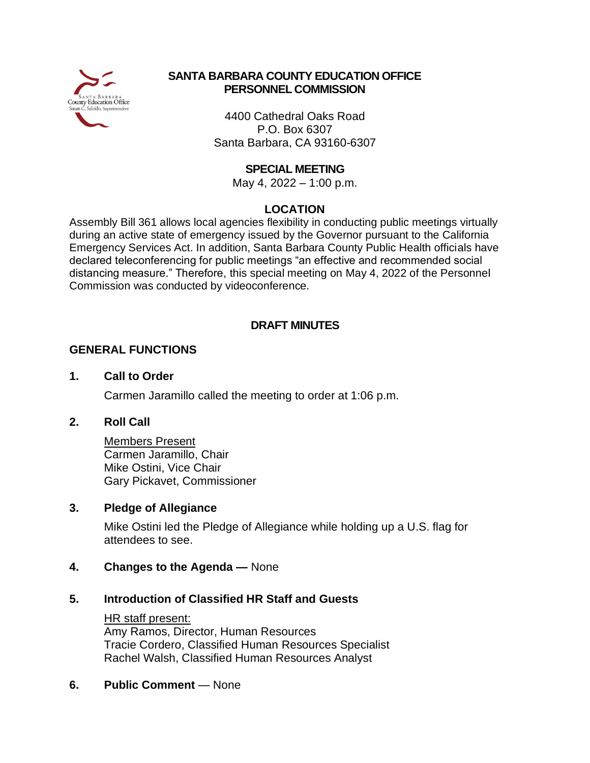

#### **SANTA BARBARA COUNTY EDUCATION OFFICE PERSONNEL COMMISSION**

4400 Cathedral Oaks Road P.O. Box 6307 Santa Barbara, CA 93160-6307

#### **SPECIAL MEETING**

May 4, 2022 – 1:00 p.m.

#### **LOCATION**

Assembly Bill 361 allows local agencies flexibility in conducting public meetings virtually during an active state of emergency issued by the Governor pursuant to the California Emergency Services Act. In addition, Santa Barbara County Public Health officials have declared teleconferencing for public meetings "an effective and recommended social distancing measure." Therefore, this special meeting on May 4, 2022 of the Personnel Commission was conducted by videoconference.

#### **DRAFT MINUTES**

#### **GENERAL FUNCTIONS**

#### **1. Call to Order**

Carmen Jaramillo called the meeting to order at 1:06 p.m.

#### **2. Roll Call**

Members Present Carmen Jaramillo, Chair Mike Ostini, Vice Chair Gary Pickavet, Commissioner

#### **3. Pledge of Allegiance**

Mike Ostini led the Pledge of Allegiance while holding up a U.S. flag for attendees to see.

#### **4. Changes to the Agenda —** None

#### **5. Introduction of Classified HR Staff and Guests**

HR staff present: Amy Ramos, Director, Human Resources Tracie Cordero, Classified Human Resources Specialist Rachel Walsh, Classified Human Resources Analyst

#### **6. Public Comment** — None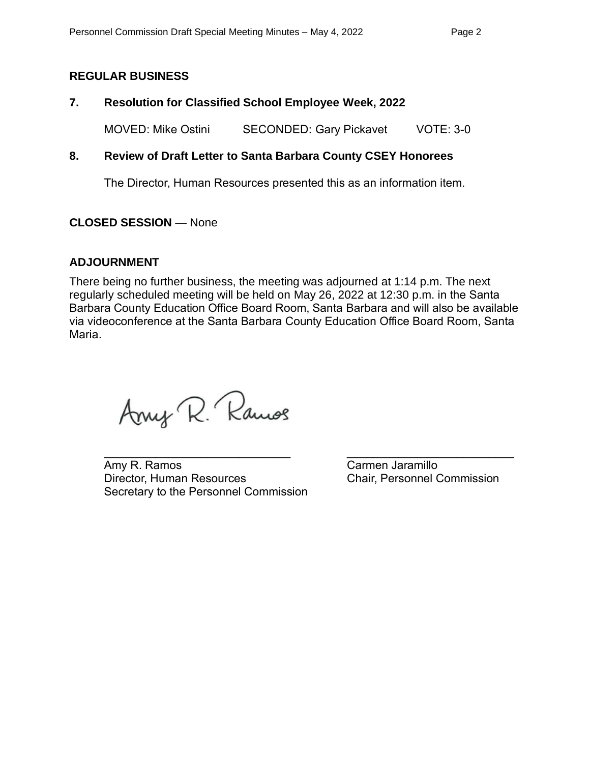#### **REGULAR BUSINESS**

#### **7. Resolution for Classified School Employee Week, 2022**

MOVED: Mike Ostini SECONDED: Gary Pickavet VOTE: 3-0

#### **8. Review of Draft Letter to Santa Barbara County CSEY Honorees**

The Director, Human Resources presented this as an information item.

#### **CLOSED SESSION** — None

#### **ADJOURNMENT**

There being no further business, the meeting was adjourned at 1:14 p.m. The next regularly scheduled meeting will be held on May 26, 2022 at 12:30 p.m. in the Santa Barbara County Education Office Board Room, Santa Barbara and will also be available via videoconference at the Santa Barbara County Education Office Board Room, Santa Maria.

Arry R. Ramos

**Amy R. Ramos** Carmen Jaramillo Director, Human Resources Chair, Personnel Commission Secretary to the Personnel Commission

 $\mathcal{L}_\text{max}$  , and the contribution of the contribution of the contribution of the contribution of the contribution of the contribution of the contribution of the contribution of the contribution of the contribution of t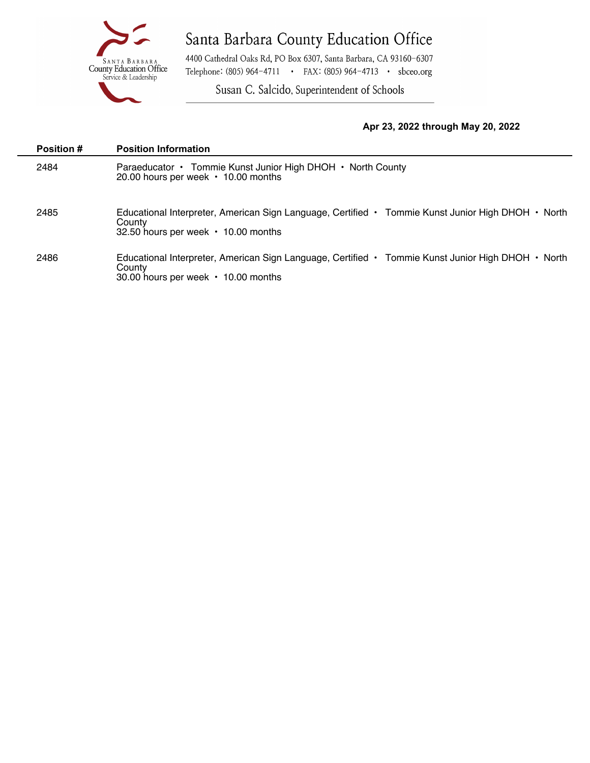

4400 Cathedral Oaks Rd, PO Box 6307, Santa Barbara, CA 93160-6307 Telephone: (805) 964-4711 · FAX: (805) 964-4713 · sbceo.org

Susan C. Salcido, Superintendent of Schools

#### **Apr 23, 2022 through May 20, 2022**

| <b>Position #</b> | <b>Position Information</b>                                                                                                                               |
|-------------------|-----------------------------------------------------------------------------------------------------------------------------------------------------------|
| 2484              | Paraeducator • Tommie Kunst Junior High DHOH • North County<br>20.00 hours per week • 10.00 months                                                        |
| 2485              | Educational Interpreter, American Sign Language, Certified • Tommie Kunst Junior High DHOH • North<br>County<br>32.50 hours per week • 10.00 months       |
| 2486              | Educational Interpreter, American Sign Language, Certified • Tommie Kunst Junior High DHOH • North<br>County<br>30.00 hours per week $\cdot$ 10.00 months |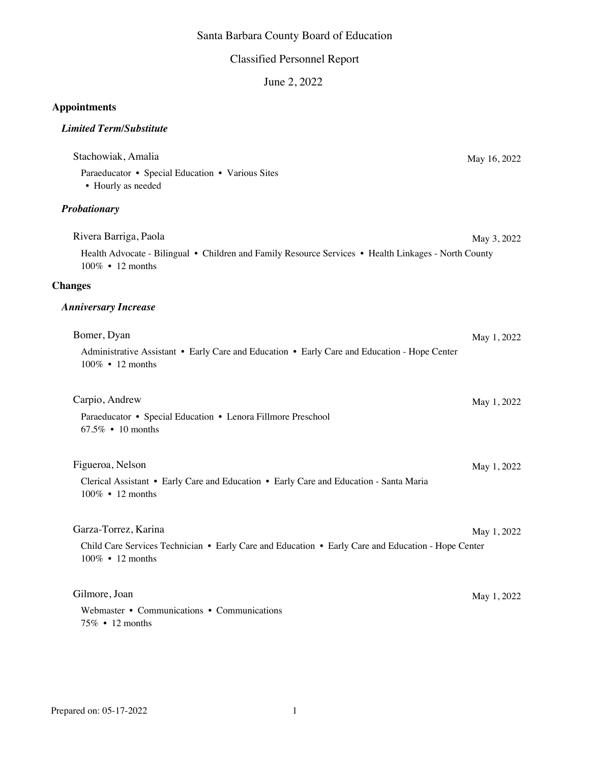#### Classified Personnel Report

June 2, 2022

#### **Appointments**

#### *Limited Term/Substitute*

| Stachowiak, Amalia                                                                                                       | May 16, 2022 |
|--------------------------------------------------------------------------------------------------------------------------|--------------|
| Paraeducator • Special Education • Various Sites<br>• Hourly as needed                                                   |              |
| Probationary                                                                                                             |              |
| Rivera Barriga, Paola                                                                                                    | May 3, 2022  |
| Health Advocate - Bilingual • Children and Family Resource Services • Health Linkages - North County<br>100% • 12 months |              |
| <b>Changes</b>                                                                                                           |              |
| <b>Anniversary Increase</b>                                                                                              |              |
| Bomer, Dyan                                                                                                              | May 1, 2022  |
| Administrative Assistant • Early Care and Education • Early Care and Education - Hope Center<br>100% • 12 months         |              |
| Carpio, Andrew                                                                                                           | May 1, 2022  |
| Paraeducator • Special Education • Lenora Fillmore Preschool<br>$67.5\% \cdot 10$ months                                 |              |
| Figueroa, Nelson                                                                                                         | May 1, 2022  |
| Clerical Assistant • Early Care and Education • Early Care and Education - Santa Maria<br>100% • 12 months               |              |
| Garza-Torrez, Karina                                                                                                     | May 1, 2022  |
| Child Care Services Technician • Early Care and Education • Early Care and Education - Hope Center<br>100% • 12 months   |              |
| Gilmore, Joan                                                                                                            | May 1, 2022  |
| Webmaster • Communications • Communications<br>75% • 12 months                                                           |              |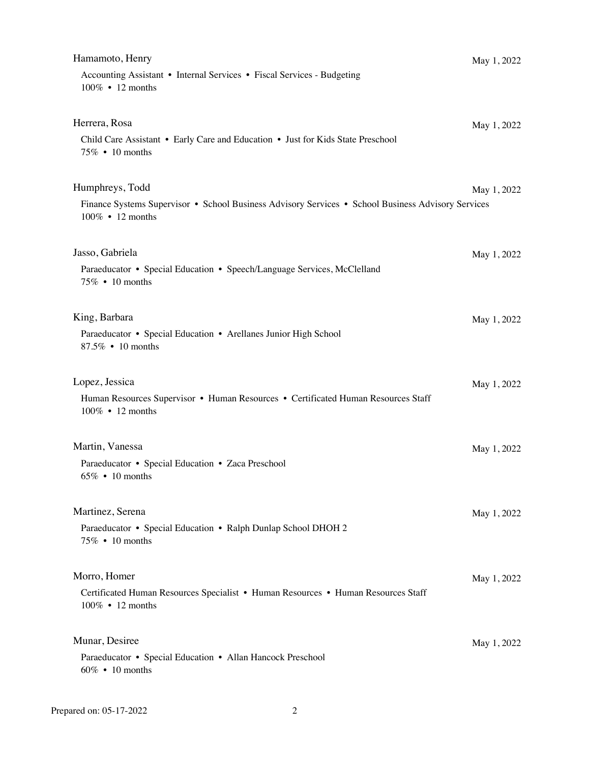| Hamamoto, Henry                                                                                                        | May 1, 2022 |
|------------------------------------------------------------------------------------------------------------------------|-------------|
| Accounting Assistant • Internal Services • Fiscal Services - Budgeting<br>100% • 12 months                             |             |
| Herrera, Rosa<br>Child Care Assistant • Early Care and Education • Just for Kids State Preschool                       | May 1, 2022 |
| 75% • 10 months                                                                                                        |             |
| Humphreys, Todd                                                                                                        | May 1, 2022 |
| Finance Systems Supervisor • School Business Advisory Services • School Business Advisory Services<br>100% • 12 months |             |
| Jasso, Gabriela                                                                                                        | May 1, 2022 |
| Paraeducator • Special Education • Speech/Language Services, McClelland<br>75% • 10 months                             |             |
| King, Barbara                                                                                                          | May 1, 2022 |
| Paraeducator • Special Education • Arellanes Junior High School<br>87.5% • 10 months                                   |             |
| Lopez, Jessica                                                                                                         | May 1, 2022 |
| Human Resources Supervisor • Human Resources • Certificated Human Resources Staff<br>100% • 12 months                  |             |
| Martin, Vanessa                                                                                                        | May 1, 2022 |
| Paraeducator • Special Education • Zaca Preschool<br>$65\% \cdot 10$ months                                            |             |
| Martinez, Serena                                                                                                       | May 1, 2022 |
| Paraeducator • Special Education • Ralph Dunlap School DHOH 2<br>75% • 10 months                                       |             |
| Morro, Homer                                                                                                           | May 1, 2022 |
| Certificated Human Resources Specialist • Human Resources • Human Resources Staff<br>100% • 12 months                  |             |
| Munar, Desiree                                                                                                         | May 1, 2022 |
| Paraeducator • Special Education • Allan Hancock Preschool<br>60% • 10 months                                          |             |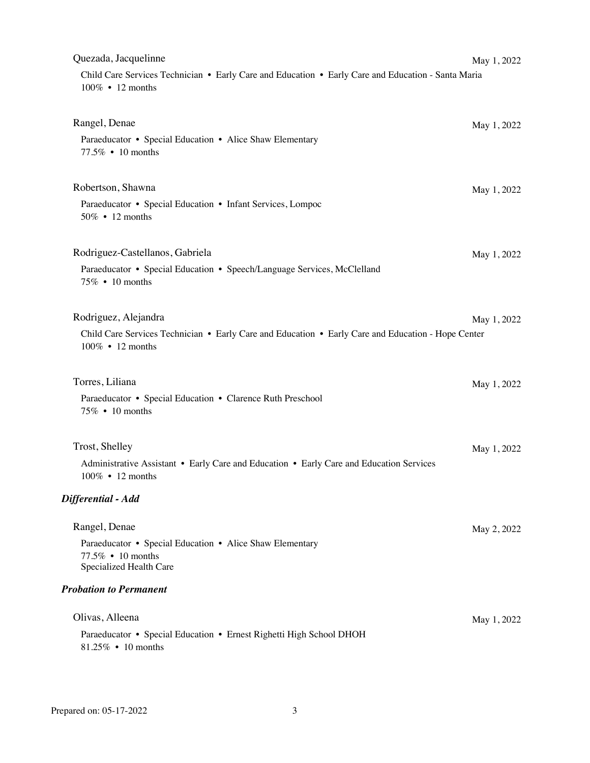| Quezada, Jacquelinne                                                                                                   | May 1, 2022 |
|------------------------------------------------------------------------------------------------------------------------|-------------|
| Child Care Services Technician • Early Care and Education • Early Care and Education - Santa Maria<br>100% • 12 months |             |
| Rangel, Denae                                                                                                          | May 1, 2022 |
| Paraeducator • Special Education • Alice Shaw Elementary<br>77.5% • 10 months                                          |             |
| Robertson, Shawna                                                                                                      | May 1, 2022 |
| Paraeducator • Special Education • Infant Services, Lompoc<br>50% • 12 months                                          |             |
| Rodriguez-Castellanos, Gabriela                                                                                        | May 1, 2022 |
| Paraeducator • Special Education • Speech/Language Services, McClelland<br>75% • 10 months                             |             |
| Rodriguez, Alejandra                                                                                                   | May 1, 2022 |
| Child Care Services Technician • Early Care and Education • Early Care and Education - Hope Center<br>100% • 12 months |             |
| Torres, Liliana                                                                                                        | May 1, 2022 |
| Paraeducator • Special Education • Clarence Ruth Preschool<br>75% • 10 months                                          |             |
| Trost, Shelley                                                                                                         | May 1, 2022 |
| Administrative Assistant • Early Care and Education • Early Care and Education Services<br>100% • 12 months            |             |
| Differential - Add                                                                                                     |             |
| Rangel, Denae                                                                                                          | May 2, 2022 |
| Paraeducator • Special Education • Alice Shaw Elementary<br>77.5% • 10 months<br>Specialized Health Care               |             |
| <b>Probation to Permanent</b>                                                                                          |             |
| Olivas, Alleena                                                                                                        | May 1, 2022 |
| Paraeducator • Special Education • Ernest Righetti High School DHOH<br>81.25% • 10 months                              |             |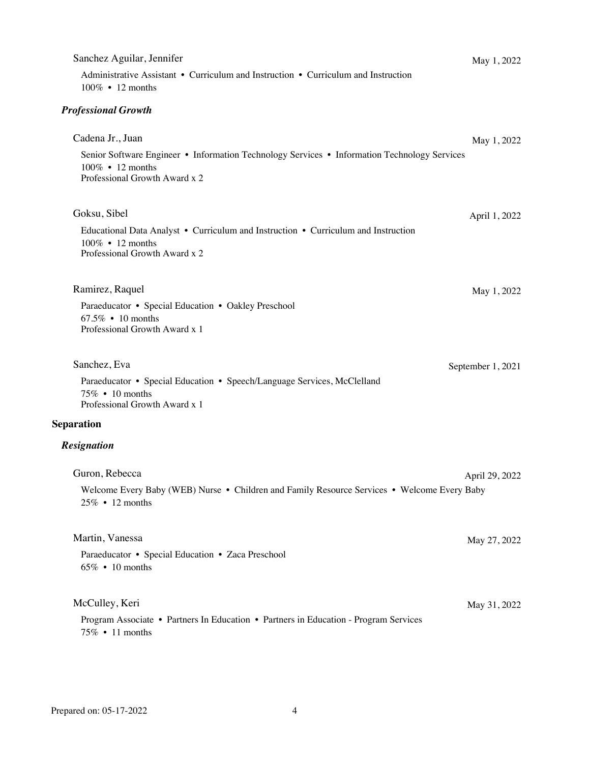| Sanchez Aguilar, Jennifer<br>Administrative Assistant • Curriculum and Instruction • Curriculum and Instruction<br>100% • 12 months                                   | May 1, 2022       |
|-----------------------------------------------------------------------------------------------------------------------------------------------------------------------|-------------------|
| <b>Professional Growth</b>                                                                                                                                            |                   |
| Cadena Jr., Juan<br>Senior Software Engineer • Information Technology Services • Information Technology Services<br>100% • 12 months<br>Professional Growth Award x 2 | May 1, 2022       |
| Goksu, Sibel<br>Educational Data Analyst • Curriculum and Instruction • Curriculum and Instruction<br>100% • 12 months<br>Professional Growth Award x 2               | April 1, 2022     |
| Ramirez, Raquel<br>Paraeducator • Special Education • Oakley Preschool<br>67.5% • 10 months<br>Professional Growth Award x 1                                          | May 1, 2022       |
| Sanchez, Eva<br>Paraeducator • Special Education • Speech/Language Services, McClelland<br>75% • 10 months<br>Professional Growth Award x 1                           | September 1, 2021 |
| <b>Separation</b>                                                                                                                                                     |                   |
| <b>Resignation</b>                                                                                                                                                    |                   |
| Guron, Rebecca<br>Welcome Every Baby (WEB) Nurse • Children and Family Resource Services • Welcome Every Baby<br>25% • 12 months                                      | April 29, 2022    |
| Martin, Vanessa<br>Paraeducator • Special Education • Zaca Preschool<br>$65\% \cdot 10$ months                                                                        | May 27, 2022      |
| McCulley, Keri<br>Program Associate • Partners In Education • Partners in Education - Program Services<br>75% • 11 months                                             | May 31, 2022      |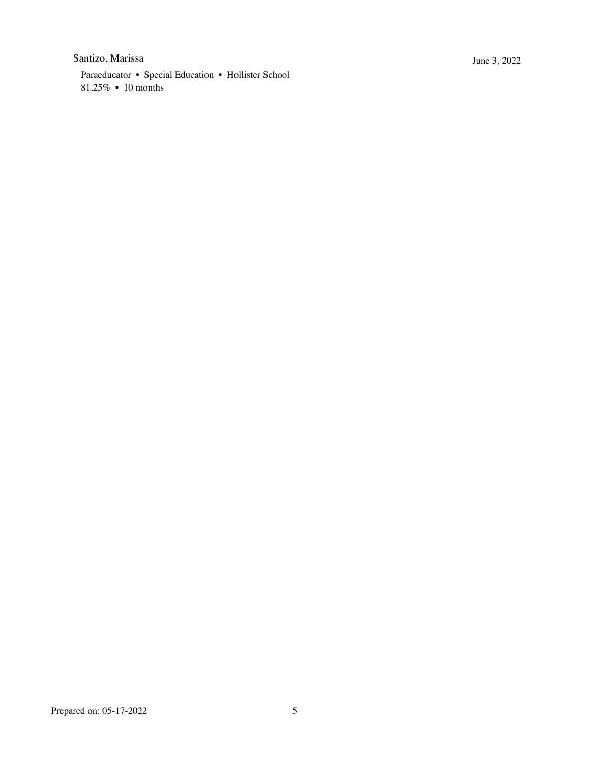#### Santizo, Marissa June 3, 2022

Paraeducator • Special Education • Hollister School 81.25% • 10 months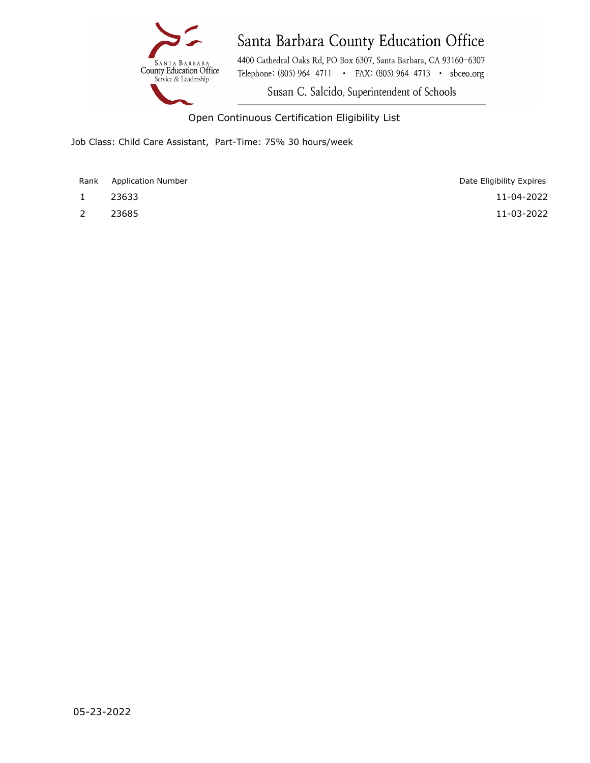

4400 Cathedral Oaks Rd, PO Box 6307, Santa Barbara, CA 93160-6307 Telephone: (805) 964-4711 • FAX: (805) 964-4713 • sbceo.org

Susan C. Salcido, Superintendent of Schools

Open Continuous Certification Eligibility List

Job Class: Child Care Assistant, Part-Time: 75% 30 hours/week

Rank Application Number

- 
- 

1 23633 11-04-2022 2 23685 11-03-2022 Date Eligibility Expires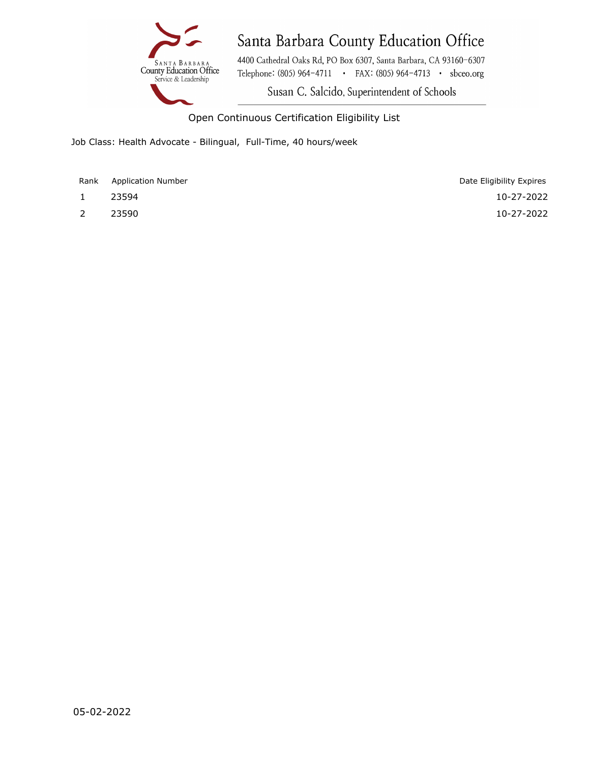#### AGENDA ITEM 11a(ii)



### Santa Barbara County Education Office

4400 Cathedral Oaks Rd, PO Box 6307, Santa Barbara, CA 93160-6307 Telephone: (805) 964-4711 • FAX: (805) 964-4713 • sbceo.org

Susan C. Salcido, Superintendent of Schools

Open Continuous Certification Eligibility List

Job Class: Health Advocate - Bilingual, Full-Time, 40 hours/week

Rank Application Number

- 
- 

1 23594 10-27-2022 2 23590 10-27-2022 Date Eligibility Expires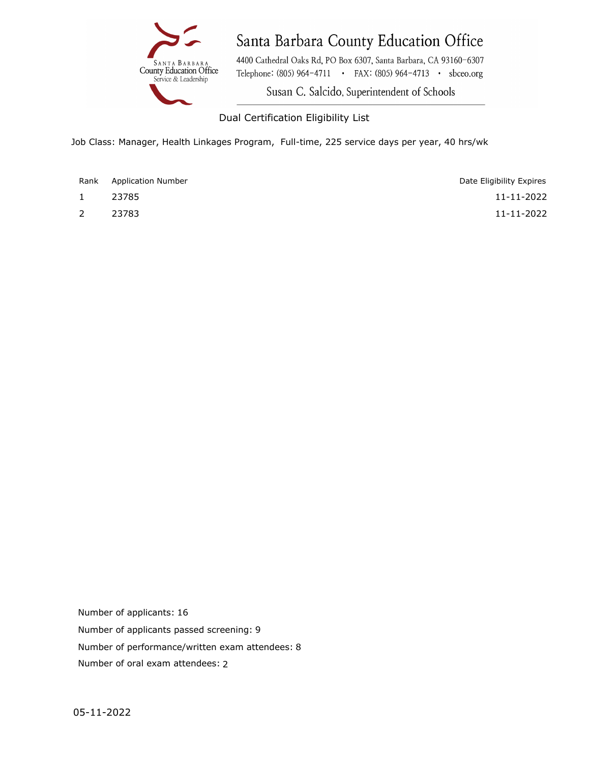

4400 Cathedral Oaks Rd, PO Box 6307, Santa Barbara, CA 93160-6307 Telephone: (805) 964-4711 • FAX: (805) 964-4713 • sbceo.org

Susan C. Salcido, Superintendent of Schools

Dual Certification Eligibility List

Job Class: Manager, Health Linkages Program, Full-time, 225 service days per year, 40 hrs/wk

- 
- 

1 23785 11-11-2022 2 23783 11-11-2022 Date Eligibility Expires

Number of applicants passed screening: 9 Number of performance/written exam attendees: 8 Number of applicants: 16 Number of oral exam attendees: 2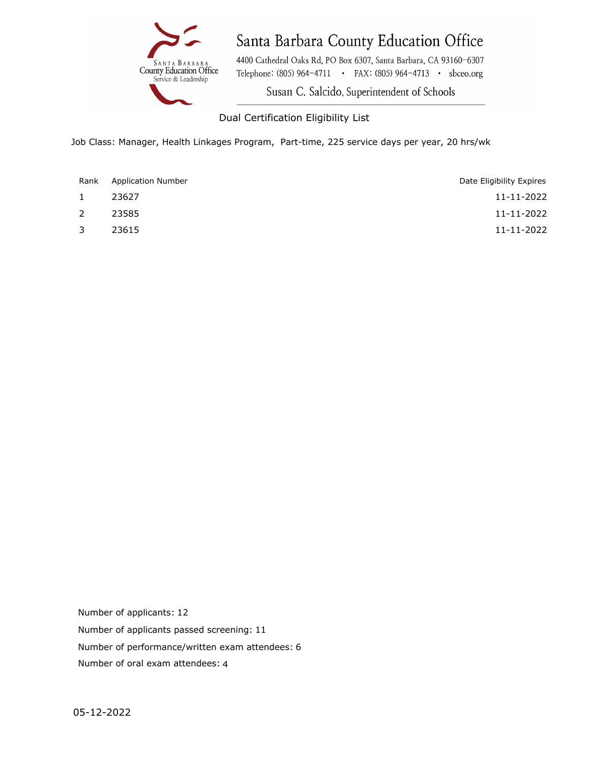

4400 Cathedral Oaks Rd, PO Box 6307, Santa Barbara, CA 93160-6307 Telephone: (805) 964-4711 · FAX: (805) 964-4713 · sbceo.org

Susan C. Salcido, Superintendent of Schools

#### Dual Certification Eligibility List

Job Class: Manager, Health Linkages Program, Part-time, 225 service days per year, 20 hrs/wk

| Rank         | <b>Application Number</b> | Date Eligibility Expires |
|--------------|---------------------------|--------------------------|
| $\mathbf{1}$ | 23627                     | 11-11-2022               |
| 2            | 23585                     | 11-11-2022               |
| $\mathbf{3}$ | 23615                     | 11-11-2022               |

Number of applicants passed screening: 11 Number of performance/written exam attendees: 6 Number of applicants: 12 Number of oral exam attendees: 4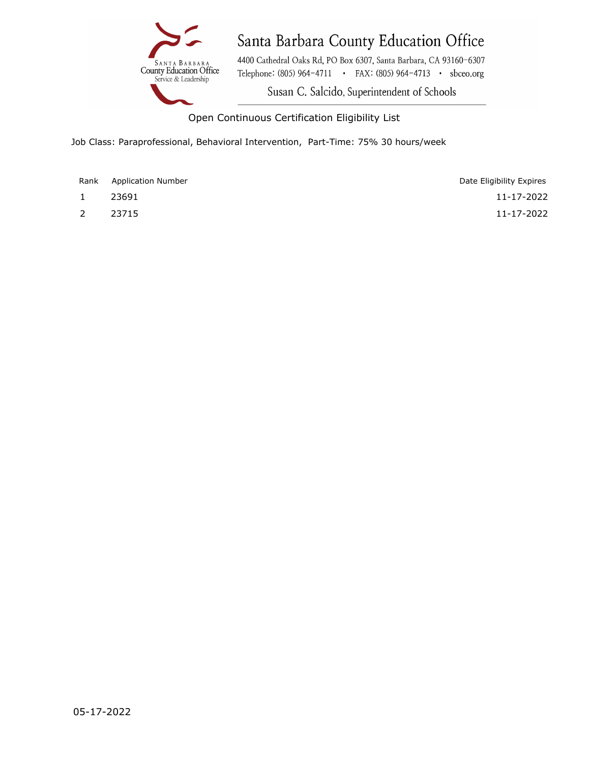

4400 Cathedral Oaks Rd, PO Box 6307, Santa Barbara, CA 93160-6307 Telephone: (805) 964-4711 · FAX: (805) 964-4713 · sbceo.org

Susan C. Salcido, Superintendent of Schools

Open Continuous Certification Eligibility List

Job Class: Paraprofessional, Behavioral Intervention, Part-Time: 75% 30 hours/week

Rank Application Number

- 
- 

1 23691 11-17-2022 2 23715 11-17-2022 Date Eligibility Expires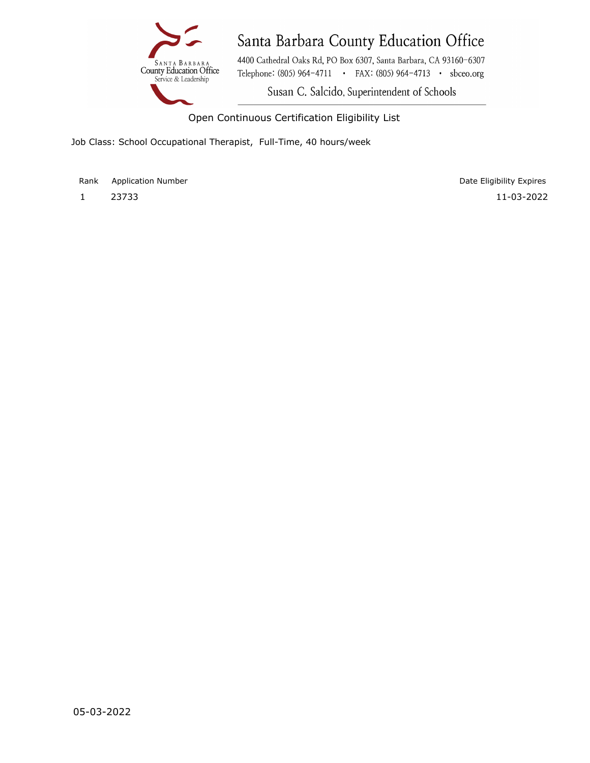#### AGENDA ITEM 11a(vi)



# Santa Barbara County Education Office

4400 Cathedral Oaks Rd, PO Box 6307, Santa Barbara, CA 93160-6307 Telephone: (805) 964-4711 • FAX: (805) 964-4713 • sbceo.org

Susan C. Salcido, Superintendent of Schools

Open Continuous Certification Eligibility List

Job Class: School Occupational Therapist, Full-Time, 40 hours/week

Rank Application Number

1 23733 11-03-2022 Date Eligibility Expires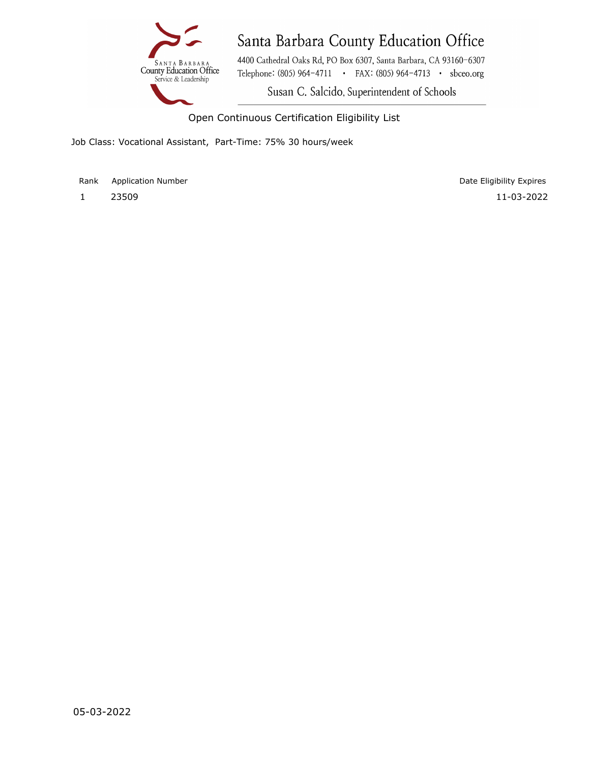#### AGENDA ITEM 11a(vii)



# Santa Barbara County Education Office

4400 Cathedral Oaks Rd, PO Box 6307, Santa Barbara, CA 93160-6307 Telephone: (805) 964-4711 • FAX: (805) 964-4713 • sbceo.org

Susan C. Salcido, Superintendent of Schools

Open Continuous Certification Eligibility List

Job Class: Vocational Assistant, Part-Time: 75% 30 hours/week

Rank Application Number

1 23509 11-03-2022 Date Eligibility Expires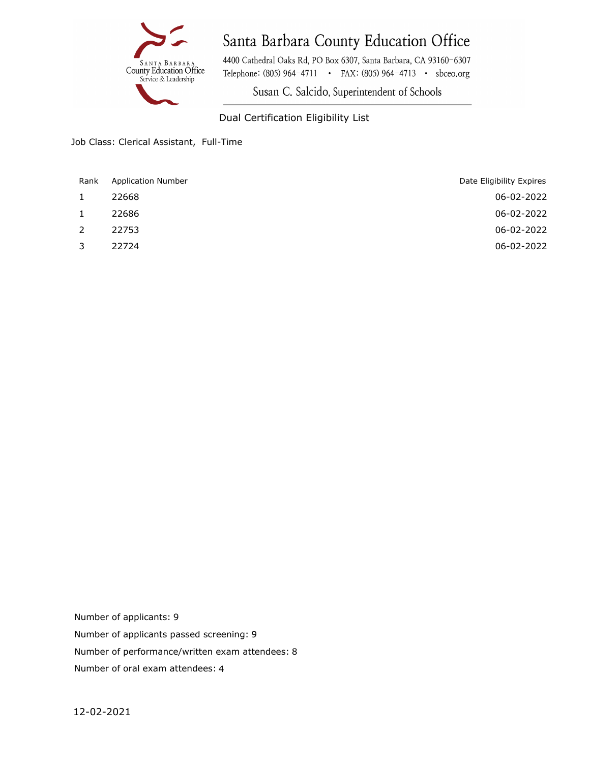

4400 Cathedral Oaks Rd, PO Box 6307, Santa Barbara, CA 93160-6307 Telephone: (805) 964-4711 • FAX: (805) 964-4713 • sbceo.org

Susan C. Salcido, Superintendent of Schools

#### Dual Certification Eligibility List

Job Class: Clerical Assistant, Full-Time

| Rank         | <b>Application Number</b> | Date Eligibility Expires |
|--------------|---------------------------|--------------------------|
| $\mathbf{1}$ | 22668                     | 06-02-2022               |
| $\mathbf{1}$ | 22686                     | 06-02-2022               |
| 2            | 22753                     | 06-02-2022               |
| 3            | 22724                     | 06-02-2022               |
|              |                           |                          |

Number of applicants passed screening: 9 Number of performance/written exam attendees: 8 Number of applicants: 9 Number of oral exam attendees: 4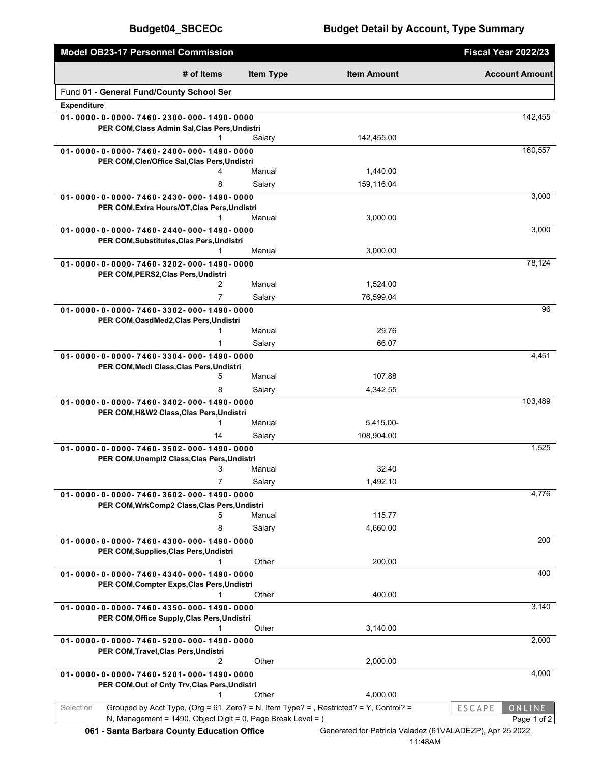| Model OB23-17 Personnel Commission                                                                                                                                  |                  |                                                                     | Fiscal Year 2022/23                    |
|---------------------------------------------------------------------------------------------------------------------------------------------------------------------|------------------|---------------------------------------------------------------------|----------------------------------------|
| # of Items                                                                                                                                                          | <b>Item Type</b> | <b>Item Amount</b>                                                  | <b>Account Amount</b>                  |
| Fund 01 - General Fund/County School Ser                                                                                                                            |                  |                                                                     |                                        |
| <b>Expenditure</b>                                                                                                                                                  |                  |                                                                     |                                        |
| 01-0000-0-0000-7460-2300-000-1490-0000                                                                                                                              |                  |                                                                     | 142,455                                |
| PER COM, Class Admin Sal, Clas Pers, Undistri                                                                                                                       | Salary           | 142,455.00                                                          |                                        |
| 01-0000-0-0000-7460-2400-000-1490-0000                                                                                                                              |                  |                                                                     | 160,557                                |
| PER COM, Cler/Office Sal, Clas Pers, Undistri                                                                                                                       |                  |                                                                     |                                        |
| 4                                                                                                                                                                   | Manual           | 1,440.00                                                            |                                        |
| 8                                                                                                                                                                   | Salary           | 159,116.04                                                          |                                        |
| 01-0000-0-0000-7460-2430-000-1490-0000<br>PER COM, Extra Hours/OT, Clas Pers, Undistri                                                                              |                  |                                                                     | 3,000                                  |
| 1                                                                                                                                                                   | Manual           | 3,000.00                                                            |                                        |
| 01-0000-0-0000-7460-2440-000-1490-0000                                                                                                                              |                  |                                                                     | 3,000                                  |
| PER COM, Substitutes, Clas Pers, Undistri<br>1                                                                                                                      | Manual           | 3,000.00                                                            |                                        |
| 01-0000-0-0000-7460-3202-000-1490-0000                                                                                                                              |                  |                                                                     | 78,124                                 |
| PER COM, PERS2, Clas Pers, Undistri                                                                                                                                 |                  |                                                                     |                                        |
| $\overline{2}$                                                                                                                                                      | Manual           | 1,524.00                                                            |                                        |
| $\overline{7}$                                                                                                                                                      | Salary           | 76,599.04                                                           |                                        |
| 01-0000-0-0000-7460-3302-000-1490-0000<br>PER COM, OasdMed2, Clas Pers, Undistri                                                                                    |                  |                                                                     | 96                                     |
| 1                                                                                                                                                                   | Manual           | 29.76                                                               |                                        |
| 1                                                                                                                                                                   | Salary           | 66.07                                                               |                                        |
| 01-0000-0-0000-7460-3304-000-1490-0000                                                                                                                              |                  |                                                                     | 4,451                                  |
| PER COM, Medi Class, Clas Pers, Undistri                                                                                                                            |                  |                                                                     |                                        |
| 5<br>8                                                                                                                                                              | Manual           | 107.88                                                              |                                        |
| 01-0000-0-0000-7460-3402-000-1490-0000                                                                                                                              | Salary           | 4,342.55                                                            | 103,489                                |
| PER COM, H&W2 Class, Clas Pers, Undistri                                                                                                                            |                  |                                                                     |                                        |
| $\mathbf{1}$                                                                                                                                                        | Manual           | 5,415.00-                                                           |                                        |
| 14                                                                                                                                                                  | Salary           | 108,904.00                                                          |                                        |
| 01-0000-0-0000-7460-3502-000-1490-0000                                                                                                                              |                  |                                                                     | 1,525                                  |
| PER COM, Unempl2 Class, Clas Pers, Undistri<br>3                                                                                                                    | Manual           | 32.40                                                               |                                        |
| $\overline{7}$                                                                                                                                                      | Salary           | 1,492.10                                                            |                                        |
| 01 - 0000 - 0 - 0000 - 7460 - 3602 - 000 - 1490 - 0000                                                                                                              |                  |                                                                     | 4,776                                  |
| PER COM, WrkComp2 Class, Clas Pers, Undistri                                                                                                                        |                  |                                                                     |                                        |
| 5                                                                                                                                                                   | Manual           | 115.77                                                              |                                        |
| 8<br>01-0000-0-0000-7460-4300-000-1490-0000                                                                                                                         | Salary           | 4,660.00                                                            | 200                                    |
| PER COM, Supplies, Clas Pers, Undistri                                                                                                                              |                  |                                                                     |                                        |
|                                                                                                                                                                     | Other            | 200.00                                                              |                                        |
| 01-0000-0-0000-7460-4340-000-1490-0000                                                                                                                              |                  |                                                                     | 400                                    |
| PER COM, Compter Exps, Clas Pers, Undistri<br>1                                                                                                                     | Other            | 400.00                                                              |                                        |
| 01-0000-0-0000-7460-4350-000-1490-0000                                                                                                                              |                  |                                                                     | 3,140                                  |
| PER COM, Office Supply, Clas Pers, Undistri                                                                                                                         |                  |                                                                     |                                        |
| 1                                                                                                                                                                   | Other            | 3,140.00                                                            |                                        |
| 01-0000-0-0000-7460-5200-000-1490-0000                                                                                                                              |                  |                                                                     | 2,000                                  |
| PER COM, Travel, Clas Pers, Undistri<br>2                                                                                                                           | Other            | 2,000.00                                                            |                                        |
| 01-0000-0-0000-7460-5201-000-1490-0000                                                                                                                              |                  |                                                                     | 4,000                                  |
| PER COM, Out of Cnty Trv, Clas Pers, Undistri                                                                                                                       |                  |                                                                     |                                        |
| 1                                                                                                                                                                   | Other            | 4,000.00                                                            |                                        |
| Selection<br>Grouped by Acct Type, (Org = 61, Zero? = N, Item Type? = , Restricted? = Y, Control? =<br>N, Management = 1490, Object Digit = 0, Page Break Level = ) |                  |                                                                     | ONLINE<br><b>ESCAPE</b><br>Page 1 of 2 |
| 061 - Santa Barbara County Education Office                                                                                                                         |                  | Generated for Patricia Valadez (61VALADEZP), Apr 25 2022<br>11:48AM |                                        |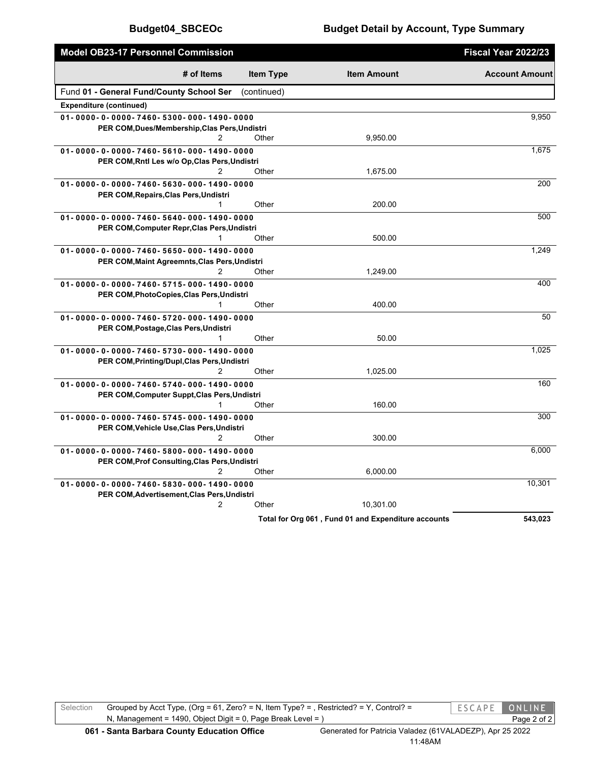| Model OB23-17 Personnel Commission            |                  |                                                     | Fiscal Year 2022/23   |
|-----------------------------------------------|------------------|-----------------------------------------------------|-----------------------|
| # of Items                                    | <b>Item Type</b> | <b>Item Amount</b>                                  | <b>Account Amount</b> |
| Fund 01 - General Fund/County School Ser      | (continued)      |                                                     |                       |
| <b>Expenditure (continued)</b>                |                  |                                                     |                       |
| 01-0000-0-0000-7460-5300-000-1490-0000        |                  |                                                     | 9,950                 |
| PER COM, Dues/Membership, Clas Pers, Undistri |                  |                                                     |                       |
| 2                                             | Other            | 9.950.00                                            |                       |
| 01-0000-0-0000-7460-5610-000-1490-0000        |                  |                                                     | 1,675                 |
| PER COM, Rntl Les w/o Op, Clas Pers, Undistri |                  |                                                     |                       |
| 2                                             | Other            | 1,675.00                                            |                       |
| 01-0000-0-0000-7460-5630-000-1490-0000        |                  |                                                     | 200                   |
| PER COM, Repairs, Clas Pers, Undistri         |                  |                                                     |                       |
|                                               | Other            | 200.00                                              |                       |
| 01-0000-0-0000-7460-5640-000-1490-0000        |                  |                                                     | 500                   |
| PER COM, Computer Repr, Clas Pers, Undistri   |                  |                                                     |                       |
| 1                                             | Other            | 500.00                                              |                       |
| 01-0000-0-0000-7460-5650-000-1490-0000        |                  |                                                     | 1,249                 |
| PER COM, Maint Agreemnts, Clas Pers, Undistri |                  |                                                     |                       |
| 2                                             | Other            | 1,249.00                                            |                       |
| 01-0000-0-0000-7460-5715-000-1490-0000        |                  |                                                     | 400                   |
| PER COM, PhotoCopies, Clas Pers, Undistri     |                  |                                                     |                       |
|                                               | Other            | 400.00                                              |                       |
| 01-0000-0-0000-7460-5720-000-1490-0000        |                  |                                                     | 50                    |
| PER COM, Postage, Clas Pers, Undistri         |                  |                                                     |                       |
| 1                                             | Other            | 50.00                                               |                       |
| 01-0000-0-0000-7460-5730-000-1490-0000        |                  |                                                     | 1,025                 |
| PER COM, Printing/Dupl, Clas Pers, Undistri   |                  |                                                     |                       |
| 2                                             | Other            | 1,025.00                                            |                       |
| 01-0000-0-0000-7460-5740-000-1490-0000        |                  |                                                     | 160                   |
| PER COM, Computer Suppt, Clas Pers, Undistri  |                  |                                                     |                       |
| 1                                             | Other            | 160.00                                              |                       |
| 01-0000-0-0000-7460-5745-000-1490-0000        |                  |                                                     | 300                   |
| PER COM, Vehicle Use, Clas Pers, Undistri     |                  |                                                     |                       |
| 2                                             | Other            | 300.00                                              |                       |
| 01-0000-0-0000-7460-5800-000-1490-0000        |                  |                                                     | 6,000                 |
| PER COM, Prof Consulting, Clas Pers, Undistri |                  |                                                     |                       |
| 2                                             | Other            | 6,000.00                                            |                       |
| 01-0000-0-0000-7460-5830-000-1490-0000        |                  |                                                     | 10,301                |
| PER COM, Advertisement, Clas Pers, Undistri   |                  |                                                     |                       |
| $\overline{2}$                                | Other            | 10,301.00                                           |                       |
|                                               |                  | Total for Org 061, Fund 01 and Expenditure accounts | 543.023               |

Selection Grouped by Acct Type, (Org = 61, Zero? = N, Item Type? = , Restricted? = Y, Control? = ESCAPE ONLINE N, Management = 1490, Object Digit = 0, Page Break Level = ) Page 2 of 2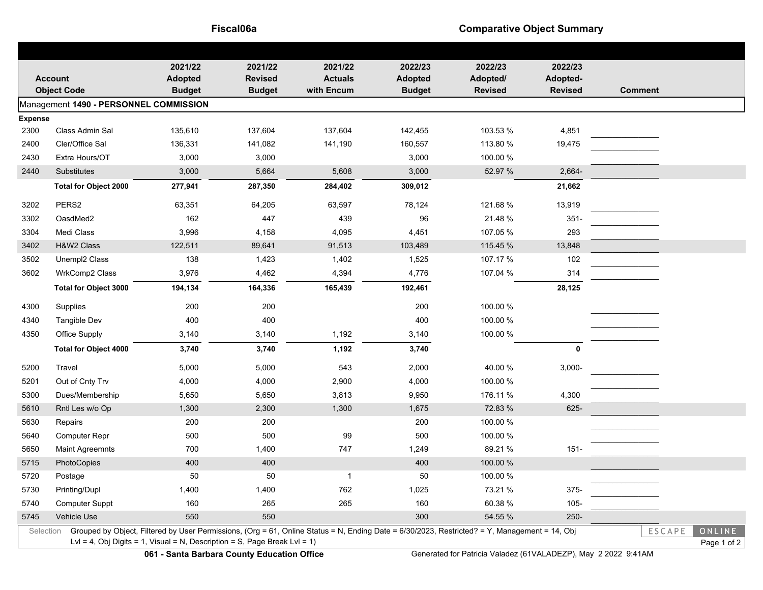**Fiscal06a Comparative Object Summary** 

| <b>AGENDA ITEM 12b</b> |  |
|------------------------|--|
|------------------------|--|

|                                        |                                                                                                                                                                                                                            | 2021/22                         | 2021/22            | 2021/22            | 2022/23            | 2022/23              | 2022/23         |                |  |  |  |  |
|----------------------------------------|----------------------------------------------------------------------------------------------------------------------------------------------------------------------------------------------------------------------------|---------------------------------|--------------------|--------------------|--------------------|----------------------|-----------------|----------------|--|--|--|--|
| <b>Account</b><br><b>Object Code</b>   |                                                                                                                                                                                                                            | <b>Adopted</b>                  | <b>Revised</b>     | <b>Actuals</b>     | <b>Adopted</b>     | Adopted/             | Adopted-        |                |  |  |  |  |
|                                        |                                                                                                                                                                                                                            | <b>Budget</b>                   | <b>Budget</b>      | with Encum         | <b>Budget</b>      | <b>Revised</b>       | <b>Revised</b>  | <b>Comment</b> |  |  |  |  |
| Management 1490 - PERSONNEL COMMISSION |                                                                                                                                                                                                                            |                                 |                    |                    |                    |                      |                 |                |  |  |  |  |
| <b>Expense</b>                         | Class Admin Sal                                                                                                                                                                                                            |                                 |                    |                    |                    |                      |                 |                |  |  |  |  |
| 2300<br>2400                           | Cler/Office Sal                                                                                                                                                                                                            | 135,610<br>136,331              | 137,604<br>141,082 | 137,604<br>141,190 | 142,455<br>160,557 | 103.53 %<br>113.80 % | 4,851<br>19,475 |                |  |  |  |  |
| 2430                                   | Extra Hours/OT                                                                                                                                                                                                             | 3,000                           | 3,000              |                    | 3,000              | 100.00 %             |                 |                |  |  |  |  |
| 2440                                   | Substitutes                                                                                                                                                                                                                | 3,000                           | 5,664              | 5,608              | 3,000              | 52.97 %              | 2,664-          |                |  |  |  |  |
|                                        | <b>Total for Object 2000</b>                                                                                                                                                                                               | 277,941                         | 287,350            | 284,402            | 309,012            |                      | 21,662          |                |  |  |  |  |
|                                        |                                                                                                                                                                                                                            |                                 |                    |                    |                    |                      |                 |                |  |  |  |  |
| 3202                                   | PERS2                                                                                                                                                                                                                      | 63,351                          | 64,205             | 63,597             | 78,124             | 121.68%              | 13,919          |                |  |  |  |  |
| 3302                                   | OasdMed2                                                                                                                                                                                                                   | 162                             | 447                | 439                | 96                 | 21.48%               | $351 -$         |                |  |  |  |  |
| 3304                                   | Medi Class                                                                                                                                                                                                                 | 3,996                           | 4,158              | 4,095              | 4,451              | 107.05 %             | 293             |                |  |  |  |  |
| 3402                                   | H&W2 Class                                                                                                                                                                                                                 | 122,511                         | 89,641             | 91,513             | 103,489            | 115.45 %             | 13,848          |                |  |  |  |  |
| 3502                                   | Unempl2 Class                                                                                                                                                                                                              | 138                             | 1,423              | 1,402              | 1,525              | 107.17 %             | 102             |                |  |  |  |  |
| 3602                                   | WrkComp2 Class                                                                                                                                                                                                             | 3,976                           | 4,462              | 4,394              | 4,776              | 107.04 %             | 314             |                |  |  |  |  |
|                                        | <b>Total for Object 3000</b>                                                                                                                                                                                               | 194,134                         | 164,336            | 165,439            | 192,461            |                      | 28,125          |                |  |  |  |  |
| 4300                                   | Supplies                                                                                                                                                                                                                   | 200                             | 200                |                    | 200                | 100.00 %             |                 |                |  |  |  |  |
| 4340                                   | Tangible Dev                                                                                                                                                                                                               | 400                             | 400                |                    | 400                | 100.00 %             |                 |                |  |  |  |  |
| 4350                                   | Office Supply                                                                                                                                                                                                              | 3,140                           | 3,140              | 1,192              | 3,140              | 100.00 %             |                 |                |  |  |  |  |
|                                        | <b>Total for Object 4000</b>                                                                                                                                                                                               | 3,740                           | 3,740              | 1,192              | 3,740              |                      | $\mathbf 0$     |                |  |  |  |  |
| 5200                                   | Travel                                                                                                                                                                                                                     | 5,000                           | 5,000              | 543                | 2,000              | 40.00 %              | $3,000-$        |                |  |  |  |  |
| 5201                                   | Out of Cnty Trv                                                                                                                                                                                                            | 4,000                           | 4,000              | 2,900              | 4,000              | 100.00 %             |                 |                |  |  |  |  |
| 5300                                   | Dues/Membership                                                                                                                                                                                                            | 5,650                           | 5,650              | 3,813              | 9,950              | 176.11 %             | 4,300           |                |  |  |  |  |
| 5610                                   | Rntl Les w/o Op                                                                                                                                                                                                            | 1,300                           | 2,300              | 1,300              | 1,675              | 72.83 %              | 625-            |                |  |  |  |  |
| 5630                                   | Repairs                                                                                                                                                                                                                    | 200                             | 200                |                    | 200                | 100.00 %             |                 |                |  |  |  |  |
| 5640                                   | <b>Computer Repr</b>                                                                                                                                                                                                       | 500                             | 500                | 99                 | 500                | 100.00 %             |                 |                |  |  |  |  |
| 5650                                   | <b>Maint Agreemnts</b>                                                                                                                                                                                                     | 700                             | 1,400              | 747                | 1,249              | 89.21 %              | $151 -$         |                |  |  |  |  |
| 5715                                   | PhotoCopies                                                                                                                                                                                                                | 400                             | 400                |                    | 400                | 100.00 %             |                 |                |  |  |  |  |
| 5720                                   | Postage                                                                                                                                                                                                                    | 50                              | 50                 | $\mathbf{1}$       | 50                 | 100.00 %             |                 |                |  |  |  |  |
| 5730                                   | Printing/Dupl                                                                                                                                                                                                              | 1,400                           | 1,400              | 762                | 1,025              | 73.21 %              | 375-            |                |  |  |  |  |
| 5740                                   | Computer Suppt                                                                                                                                                                                                             | 160                             | 265                | 265                | 160                | 60.38 %              | $105 -$         |                |  |  |  |  |
| 5745                                   | Vehicle Use                                                                                                                                                                                                                | 550                             | 550                |                    | 300                | 54.55 %              | $250 -$         |                |  |  |  |  |
| Selection                              | Grouped by Object, Filtered by User Permissions, (Org = 61, Online Status = N, Ending Date = 6/30/2023, Restricted? = Y, Management = 14, Obj<br>LvI = 4, Obj Digits = 1, Visual = N, Description = S, Page Break LvI = 1) | ESCAPE<br>ONLINE<br>Page 1 of 2 |                    |                    |                    |                      |                 |                |  |  |  |  |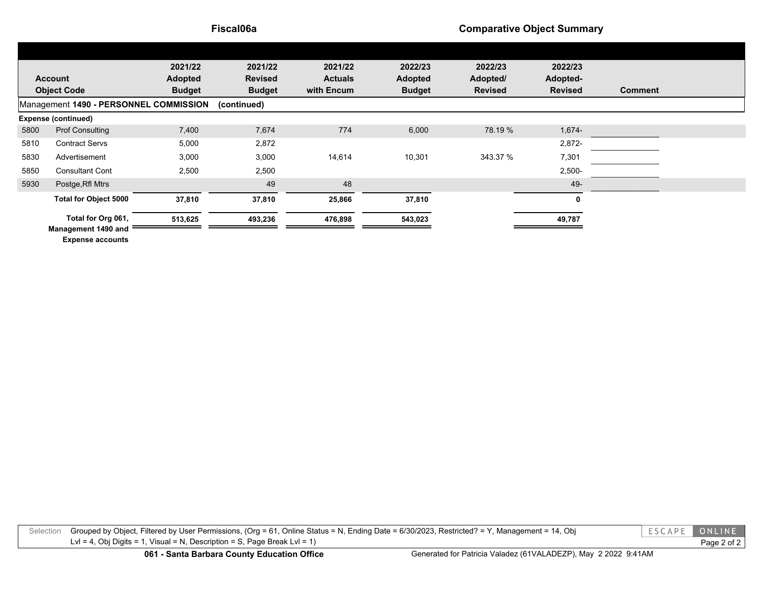#### **Fiscal06a Comparative Object Summary**

|                                        |                                           | 2021/22        | 2021/22        | 2021/22        | 2022/23        | 2022/23        | 2022/23        |                |  |
|----------------------------------------|-------------------------------------------|----------------|----------------|----------------|----------------|----------------|----------------|----------------|--|
| <b>Account</b>                         |                                           | <b>Adopted</b> | <b>Revised</b> | <b>Actuals</b> | <b>Adopted</b> | Adopted/       | Adopted-       |                |  |
| <b>Object Code</b>                     |                                           | <b>Budget</b>  | <b>Budget</b>  | with Encum     | <b>Budget</b>  | <b>Revised</b> | <b>Revised</b> | <b>Comment</b> |  |
| Management 1490 - PERSONNEL COMMISSION |                                           |                | (continued)    |                |                |                |                |                |  |
| <b>Expense (continued)</b>             |                                           |                |                |                |                |                |                |                |  |
| 5800                                   | <b>Prof Consulting</b>                    | 7,400          | 7,674          | 774            | 6,000          | 78.19 %        | 1,674-         |                |  |
| 5810                                   | <b>Contract Servs</b>                     | 5,000          | 2,872          |                |                |                | 2,872-         |                |  |
| 5830                                   | Advertisement                             | 3,000          | 3,000          | 14,614         | 10,301         | 343.37 %       | 7,301          |                |  |
| 5850                                   | <b>Consultant Cont</b>                    | 2,500          | 2,500          |                |                |                | $2,500-$       |                |  |
| 5930                                   | Postge, Rfl Mtrs                          |                | 49             | 48             |                |                | 49-            |                |  |
|                                        | <b>Total for Object 5000</b>              | 37,810         | 37,810         | 25,866         | 37,810         |                | 0              |                |  |
|                                        | Total for Org 061,<br>Management 1490 and | 513,625        | 493,236        | 476,898        | 543,023        |                | 49,787         |                |  |

**Expense accounts**

Selection Grouped by Object, Filtered by User Permissions, (Org = 61, Online Status = N, Ending Date = 6/30/2023, Restricted? = Y, Management = 14, Obj Lvl = 4, Obj Digits = 1, Visual = N, Description = S, Page Break Lvl = 1)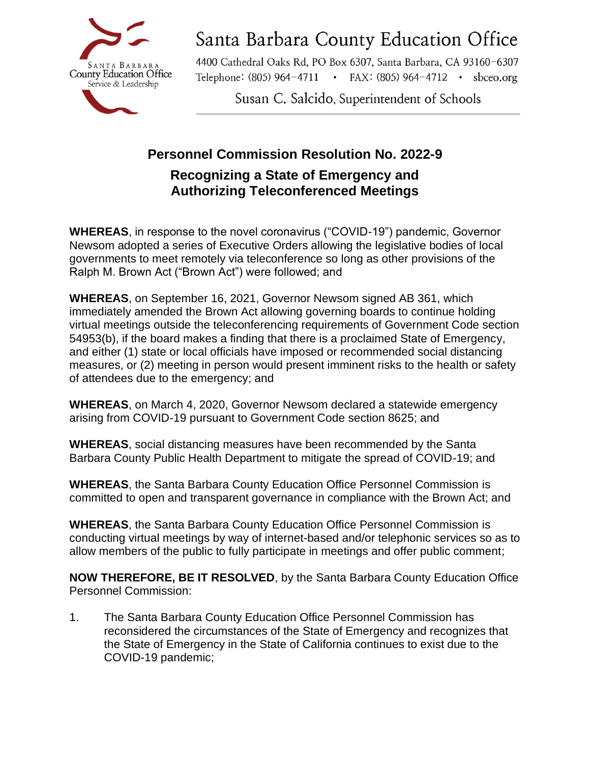

### AGENDA ITEM 13Santa Barbara County Education Office

4400 Cathedral Oaks Rd, PO Box 6307, Santa Barbara, CA 93160-6307 Telephone: (805) 964-4711 • FAX: (805) 964-4712 • sbceo.org

Susan C. Salcido, Superintendent of Schools

### **Personnel Commission Resolution No. 2022-9 Recognizing a State of Emergency and Authorizing Teleconferenced Meetings**

**WHEREAS**, in response to the novel coronavirus ("COVID-19") pandemic, Governor Newsom adopted a series of Executive Orders allowing the legislative bodies of local governments to meet remotely via teleconference so long as other provisions of the Ralph M. Brown Act ("Brown Act") were followed; and

**WHEREAS**, on September 16, 2021, Governor Newsom signed AB 361, which immediately amended the Brown Act allowing governing boards to continue holding virtual meetings outside the teleconferencing requirements of Government Code section 54953(b), if the board makes a finding that there is a proclaimed State of Emergency, and either (1) state or local officials have imposed or recommended social distancing measures, or (2) meeting in person would present imminent risks to the health or safety of attendees due to the emergency; and

**WHEREAS**, on March 4, 2020, Governor Newsom declared a statewide emergency arising from COVID-19 pursuant to Government Code section 8625; and

**WHEREAS**, social distancing measures have been recommended by the Santa Barbara County Public Health Department to mitigate the spread of COVID-19; and

**WHEREAS**, the Santa Barbara County Education Office Personnel Commission is committed to open and transparent governance in compliance with the Brown Act; and

**WHEREAS**, the Santa Barbara County Education Office Personnel Commission is conducting virtual meetings by way of internet-based and/or telephonic services so as to allow members of the public to fully participate in meetings and offer public comment;

**NOW THEREFORE, BE IT RESOLVED**, by the Santa Barbara County Education Office Personnel Commission:

1. The Santa Barbara County Education Office Personnel Commission has reconsidered the circumstances of the State of Emergency and recognizes that the State of Emergency in the State of California continues to exist due to the COVID-19 pandemic;